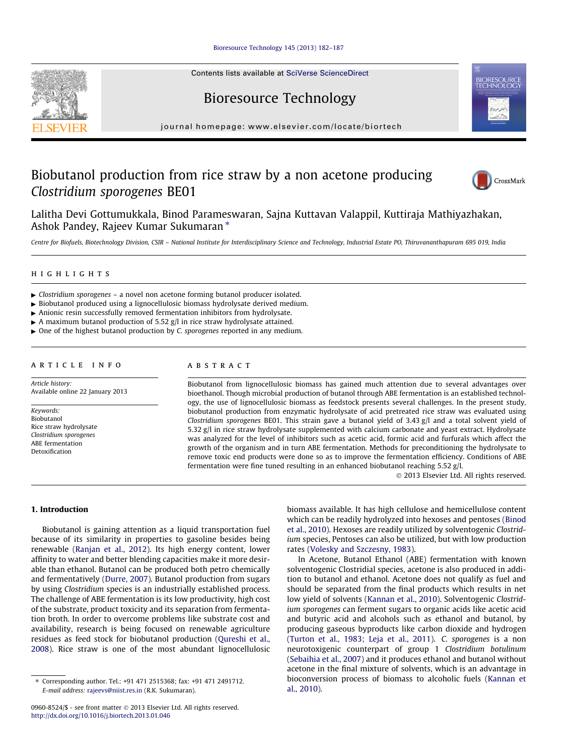### [Bioresource Technology 145 \(2013\) 182–187](http://dx.doi.org/10.1016/j.biortech.2013.01.046)

Contents lists available at [SciVerse ScienceDirect](http://www.sciencedirect.com/science/journal/09608524)

# Bioresource Technology

journal homepage: [www.elsevier.com/locate/biortech](http://www.elsevier.com/locate/biortech)

# Biobutanol production from rice straw by a non acetone producing Clostridium sporogenes BE01

Lalitha Devi Gottumukkala, Binod Parameswaran, Sajna Kuttavan Valappil, Kuttiraja Mathiyazhakan, Ashok Pandey, Rajeev Kumar Sukumaran  $*$ 

Centre for Biofuels, Biotechnology Division, CSIR – National Institute for Interdisciplinary Science and Technology, Industrial Estate PO, Thiruvananthapuram 695 019, India

#### highlights

- $\triangleright$  Clostridium sporogenes a novel non acetone forming butanol producer isolated.
- $\triangleright$  Biobutanol produced using a lignocellulosic biomass hydrolysate derived medium.
- $\blacktriangleright$  Anionic resin successfully removed fermentation inhibitors from hydrolysate.
- $\triangleright$  A maximum butanol production of 5.52 g/l in rice straw hydrolysate attained.
- $\triangleright$  One of the highest butanol production by *C. sporogenes* reported in any medium.

#### article info

Article history: Available online 22 January 2013

Keywords: Biobutanol Rice straw hydrolysate Clostridium sporogenes ABE fermentation Detoxification

## ABSTRACT

Biobutanol from lignocellulosic biomass has gained much attention due to several advantages over bioethanol. Though microbial production of butanol through ABE fermentation is an established technology, the use of lignocellulosic biomass as feedstock presents several challenges. In the present study, biobutanol production from enzymatic hydrolysate of acid pretreated rice straw was evaluated using Clostridium sporogenes BE01. This strain gave a butanol yield of 3.43 g/l and a total solvent yield of 5.32 g/l in rice straw hydrolysate supplemented with calcium carbonate and yeast extract. Hydrolysate was analyzed for the level of inhibitors such as acetic acid, formic acid and furfurals which affect the growth of the organism and in turn ABE fermentation. Methods for preconditioning the hydrolysate to remove toxic end products were done so as to improve the fermentation efficiency. Conditions of ABE fermentation were fine tuned resulting in an enhanced biobutanol reaching 5.52 g/l.

- 2013 Elsevier Ltd. All rights reserved.

## 1. Introduction

Biobutanol is gaining attention as a liquid transportation fuel because of its similarity in properties to gasoline besides being renewable [\(Ranjan et al., 2012](#page-5-0)). Its high energy content, lower affinity to water and better blending capacities make it more desirable than ethanol. Butanol can be produced both petro chemically and fermentatively [\(Durre, 2007](#page-5-0)). Butanol production from sugars by using Clostridium species is an industrially established process. The challenge of ABE fermentation is its low productivity, high cost of the substrate, product toxicity and its separation from fermentation broth. In order to overcome problems like substrate cost and availability, research is being focused on renewable agriculture residues as feed stock for biobutanol production [\(Qureshi et al.,](#page-5-0) [2008\)](#page-5-0). Rice straw is one of the most abundant lignocellulosic biomass available. It has high cellulose and hemicellulose content which can be readily hydrolyzed into hexoses and pentoses ([Binod](#page-5-0) [et al., 2010\)](#page-5-0). Hexoses are readily utilized by solventogenic Clostridium species, Pentoses can also be utilized, but with low production rates ([Volesky and Szczesny, 1983\)](#page-5-0).

In Acetone, Butanol Ethanol (ABE) fermentation with known solventogenic Clostridial species, acetone is also produced in addition to butanol and ethanol. Acetone does not qualify as fuel and should be separated from the final products which results in net low yield of solvents [\(Kannan et al., 2010](#page-5-0)). Solventogenic Clostridium sporogenes can ferment sugars to organic acids like acetic acid and butyric acid and alcohols such as ethanol and butanol, by producing gaseous byproducts like carbon dioxide and hydrogen ([Turton et al., 1983; Leja et al., 2011\)](#page-5-0). C. sporogenes is a non neurotoxigenic counterpart of group 1 Clostridium botulinum ([Sebaihia et al., 2007\)](#page-5-0) and it produces ethanol and butanol without acetone in the final mixture of solvents, which is an advantage in bioconversion process of biomass to alcoholic fuels ([Kannan et](#page-5-0) [al., 2010\)](#page-5-0).





<sup>⇑</sup> Corresponding author. Tel.: +91 471 2515368; fax: +91 471 2491712. E-mail address: [rajeevs@niist.res.in](mailto:rajeevs@niist.res.in) (R.K. Sukumaran).

<sup>0960-8524/\$ -</sup> see front matter © 2013 Elsevier Ltd. All rights reserved. <http://dx.doi.org/10.1016/j.biortech.2013.01.046>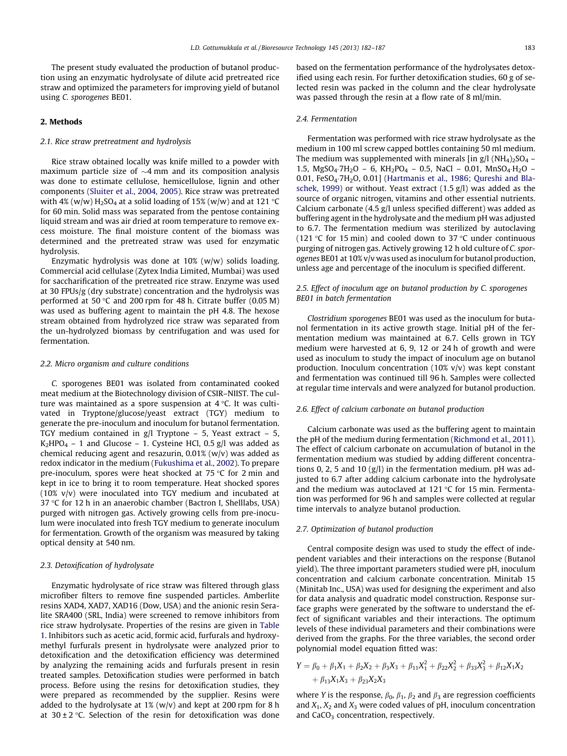The present study evaluated the production of butanol production using an enzymatic hydrolysate of dilute acid pretreated rice straw and optimized the parameters for improving yield of butanol using C. sporogenes BE01.

### 2. Methods

#### 2.1. Rice straw pretreatment and hydrolysis

Rice straw obtained locally was knife milled to a powder with maximum particle size of  ${\sim}4\,\mathrm{mm}$  and its composition analysis was done to estimate cellulose, hemicellulose, lignin and other components ([Sluiter et al., 2004, 2005](#page-5-0)). Rice straw was pretreated with 4% (w/w)  $H_2SO_4$  at a solid loading of 15% (w/w) and at 121 °C for 60 min. Solid mass was separated from the pentose containing liquid stream and was air dried at room temperature to remove excess moisture. The final moisture content of the biomass was determined and the pretreated straw was used for enzymatic hydrolysis.

Enzymatic hydrolysis was done at 10% (w/w) solids loading. Commercial acid cellulase (Zytex India Limited, Mumbai) was used for saccharification of the pretreated rice straw. Enzyme was used at 30 FPUs/g (dry substrate) concentration and the hydrolysis was performed at 50  $\degree$ C and 200 rpm for 48 h. Citrate buffer (0.05 M) was used as buffering agent to maintain the pH 4.8. The hexose stream obtained from hydrolyzed rice straw was separated from the un-hydrolyzed biomass by centrifugation and was used for fermentation.

### 2.2. Micro organism and culture conditions

C. sporogenes BE01 was isolated from contaminated cooked meat medium at the Biotechnology division of CSIR–NIIST. The culture was maintained as a spore suspension at  $4^{\circ}$ C. It was cultivated in Tryptone/glucose/yeast extract (TGY) medium to generate the pre-inoculum and inoculum for butanol fermentation. TGY medium contained in g/l Tryptone – 5, Yeast extract – 5,  $K_2$ HPO<sub>4</sub> – 1 and Glucose – 1. Cysteine HCl, 0.5 g/l was added as chemical reducing agent and resazurin, 0.01% (w/v) was added as redox indicator in the medium [\(Fukushima et al., 2002](#page-5-0)). To prepare pre-inoculum, spores were heat shocked at  $75^{\circ}$ C for 2 min and kept in ice to bring it to room temperature. Heat shocked spores (10% v/v) were inoculated into TGY medium and incubated at 37 °C for 12 h in an anaerobic chamber (Bactron I, Shelllabs, USA) purged with nitrogen gas. Actively growing cells from pre-inoculum were inoculated into fresh TGY medium to generate inoculum for fermentation. Growth of the organism was measured by taking optical density at 540 nm.

## 2.3. Detoxification of hydrolysate

Enzymatic hydrolysate of rice straw was filtered through glass microfiber filters to remove fine suspended particles. Amberlite resins XAD4, XAD7, XAD16 (Dow, USA) and the anionic resin Seralite SRA400 (SRL, India) were screened to remove inhibitors from rice straw hydrolysate. Properties of the resins are given in [Table](#page-2-0) [1](#page-2-0). Inhibitors such as acetic acid, formic acid, furfurals and hydroxymethyl furfurals present in hydrolysate were analyzed prior to detoxification and the detoxification efficiency was determined by analyzing the remaining acids and furfurals present in resin treated samples. Detoxification studies were performed in batch process. Before using the resins for detoxification studies, they were prepared as recommended by the supplier. Resins were added to the hydrolysate at  $1\%$  (w/v) and kept at 200 rpm for 8 h at  $30 \pm 2$  °C. Selection of the resin for detoxification was done based on the fermentation performance of the hydrolysates detoxified using each resin. For further detoxification studies, 60 g of selected resin was packed in the column and the clear hydrolysate was passed through the resin at a flow rate of 8 ml/min.

#### 2.4. Fermentation

Fermentation was performed with rice straw hydrolysate as the medium in 100 ml screw capped bottles containing 50 ml medium. The medium was supplemented with minerals [in g/l ( $NH_4$ )<sub>2</sub>SO<sub>4</sub> – 1.5, MgSO<sub>4</sub>.7H<sub>2</sub>O – 6, KH<sub>2</sub>PO<sub>4</sub> – 0.5, NaCl – 0.01, MnSO<sub>4</sub>.H<sub>2</sub>O – 0.01, FeSO<sub>4</sub> $-7H<sub>2</sub>O$ , 0.01] ([Hartmanis et al., 1986; Qureshi and Bla](#page-5-0)[schek, 1999\)](#page-5-0) or without. Yeast extract (1.5 g/l) was added as the source of organic nitrogen, vitamins and other essential nutrients. Calcium carbonate (4.5 g/l unless specified different) was added as buffering agent in the hydrolysate and the medium pH was adjusted to 6.7. The fermentation medium was sterilized by autoclaving (121 °C for 15 min) and cooled down to 37 °C under continuous purging of nitrogen gas. Actively growing 12 h old culture of C. sporogenes BE01 at 10% v/v was used as inoculum for butanol production, unless age and percentage of the inoculum is specified different.

## 2.5. Effect of inoculum age on butanol production by C. sporogenes BE01 in batch fermentation

Clostridium sporogenes BE01 was used as the inoculum for butanol fermentation in its active growth stage. Initial pH of the fermentation medium was maintained at 6.7. Cells grown in TGY medium were harvested at 6, 9, 12 or 24 h of growth and were used as inoculum to study the impact of inoculum age on butanol production. Inoculum concentration (10% v/v) was kept constant and fermentation was continued till 96 h. Samples were collected at regular time intervals and were analyzed for butanol production.

#### 2.6. Effect of calcium carbonate on butanol production

Calcium carbonate was used as the buffering agent to maintain the pH of the medium during fermentation ([Richmond et al., 2011\)](#page-5-0). The effect of calcium carbonate on accumulation of butanol in the fermentation medium was studied by adding different concentrations 0, 2, 5 and 10 (g/l) in the fermentation medium. pH was adjusted to 6.7 after adding calcium carbonate into the hydrolysate and the medium was autoclaved at 121  $\degree$ C for 15 min. Fermentation was performed for 96 h and samples were collected at regular time intervals to analyze butanol production.

#### 2.7. Optimization of butanol production

Central composite design was used to study the effect of independent variables and their interactions on the response (Butanol yield). The three important parameters studied were pH, inoculum concentration and calcium carbonate concentration. Minitab 15 (Minitab Inc., USA) was used for designing the experiment and also for data analysis and quadratic model construction. Response surface graphs were generated by the software to understand the effect of significant variables and their interactions. The optimum levels of these individual parameters and their combinations were derived from the graphs. For the three variables, the second order polynomial model equation fitted was:

$$
Y = \beta_0 + \beta_1 X_1 + \beta_2 X_2 + \beta_3 X_3 + \beta_{11} X_1^2 + \beta_{22} X_2^2 + \beta_{33} X_3^2 + \beta_{12} X_1 X_2
$$
  
+  $\beta_{13} X_1 X_3 + \beta_{23} X_2 X_3$ 

where *Y* is the response,  $\beta_0$ ,  $\beta_1$ ,  $\beta_2$  and  $\beta_3$  are regression coefficients and  $X_1, X_2$  and  $X_3$  were coded values of pH, inoculum concentration and  $CaCO<sub>3</sub>$  concentration, respectively.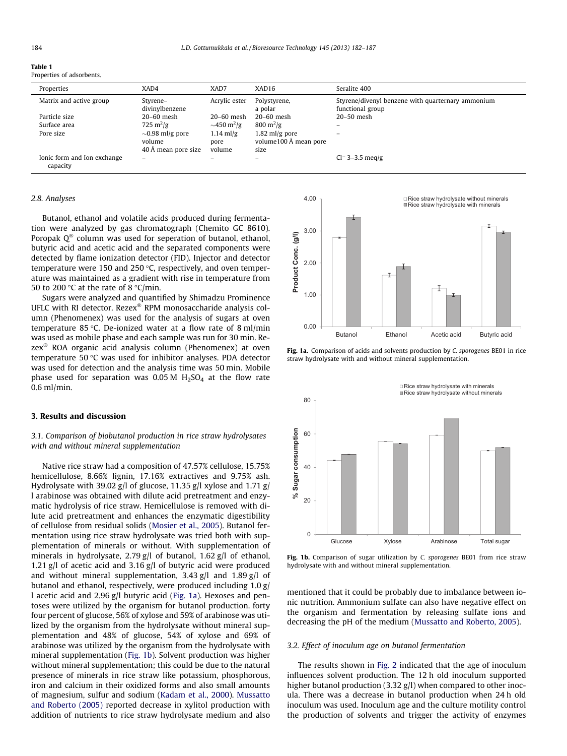<span id="page-2-0"></span>

| 184 | L.D. Gottumukkala et al. / Bioresource Technology 145 (2013) 182–187 |  |
|-----|----------------------------------------------------------------------|--|
|-----|----------------------------------------------------------------------|--|

| $\sim$<br>$\sim$<br>. . |  |
|-------------------------|--|
|-------------------------|--|

Properties of adsorbents.

| Properties                              | XAD4                       | XAD7                         | XAD16                           | Seralite 400                                                          |
|-----------------------------------------|----------------------------|------------------------------|---------------------------------|-----------------------------------------------------------------------|
| Matrix and active group                 | Styrene-<br>divinylbenzene | Acrylic ester                | Polystyrene,<br>a polar         | Styrene/divenyl benzene with quarternary ammonium<br>functional group |
| Particle size                           | $20-60$ mesh               | $20-60$ mesh                 | $20-60$ mesh                    | $20-50$ mesh                                                          |
| Surface area                            | 725 m <sup>2</sup> /g      | $\sim$ 450 m <sup>2</sup> /g | $800 \,\mathrm{m}^2/\mathrm{g}$ |                                                                       |
| Pore size                               | $\sim$ 0.98 ml/g pore      | $1.14$ ml/g                  | $1.82$ ml/g pore                |                                                                       |
|                                         | volume                     | pore                         | volume100 Å mean pore           |                                                                       |
|                                         | 40 Å mean pore size        | volume                       | size                            |                                                                       |
| Ionic form and Ion exchange<br>capacity | -                          |                              | -                               | $Cl^-$ 3–3.5 meg/g                                                    |

#### 2.8. Analyses

Butanol, ethanol and volatile acids produced during fermentation were analyzed by gas chromatograph (Chemito GC 8610). Poropak  $Q^{\omega}$  column was used for seperation of butanol, ethanol, butyric acid and acetic acid and the separated components were detected by flame ionization detector (FID). Injector and detector temperature were 150 and 250 $\degree$ C, respectively, and oven temperature was maintained as a gradient with rise in temperature from 50 to 200 °C at the rate of 8 °C/min.

Sugars were analyzed and quantified by Shimadzu Prominence UFLC with RI detector. Rezex<sup>®</sup> RPM monosaccharide analysis column (Phenomenex) was used for the analysis of sugars at oven temperature 85 °C. De-ionized water at a flow rate of 8 ml/min was used as mobile phase and each sample was run for 30 min. Rezex<sup>®</sup> ROA organic acid analysis column (Phenomenex) at oven temperature 50 $\degree$ C was used for inhibitor analyses. PDA detector was used for detection and the analysis time was 50 min. Mobile phase used for separation was  $0.05$  M  $H<sub>2</sub>SO<sub>4</sub>$  at the flow rate 0.6 ml/min.

#### 3. Results and discussion

3.1. Comparison of biobutanol production in rice straw hydrolysates with and without mineral supplementation

Native rice straw had a composition of 47.57% cellulose, 15.75% hemicellulose, 8.66% lignin, 17.16% extractives and 9.75% ash. Hydrolysate with 39.02 g/l of glucose, 11.35 g/l xylose and 1.71 g/ l arabinose was obtained with dilute acid pretreatment and enzymatic hydrolysis of rice straw. Hemicellulose is removed with dilute acid pretreatment and enhances the enzymatic digestibility of cellulose from residual solids ([Mosier et al., 2005\)](#page-5-0). Butanol fermentation using rice straw hydrolysate was tried both with supplementation of minerals or without. With supplementation of minerals in hydrolysate, 2.79 g/l of butanol, 1.62 g/l of ethanol, 1.21 g/l of acetic acid and 3.16 g/l of butyric acid were produced and without mineral supplementation, 3.43 g/l and 1.89 g/l of butanol and ethanol, respectively, were produced including 1.0 g/ l acetic acid and 2.96 g/l butyric acid (Fig. 1a). Hexoses and pentoses were utilized by the organism for butanol production. forty four percent of glucose, 56% of xylose and 59% of arabinose was utilized by the organism from the hydrolysate without mineral supplementation and 48% of glucose, 54% of xylose and 69% of arabinose was utilized by the organism from the hydrolysate with mineral supplementation (Fig. 1b). Solvent production was higher without mineral supplementation; this could be due to the natural presence of minerals in rice straw like potassium, phosphorous, iron and calcium in their oxidized forms and also small amounts of magnesium, sulfur and sodium ([Kadam et al., 2000\)](#page-5-0). [Mussatto](#page-5-0) [and Roberto \(2005\)](#page-5-0) reported decrease in xylitol production with addition of nutrients to rice straw hydrolysate medium and also



Fig. 1a. Comparison of acids and solvents production by C. sporogenes BE01 in rice straw hydrolysate with and without mineral supplementation.



Fig. 1b. Comparison of sugar utilization by C. sporogenes BE01 from rice straw hydrolysate with and without mineral supplementation.

mentioned that it could be probably due to imbalance between ionic nutrition. Ammonium sulfate can also have negative effect on the organism and fermentation by releasing sulfate ions and decreasing the pH of the medium [\(Mussatto and Roberto, 2005\)](#page-5-0).

#### 3.2. Effect of inoculum age on butanol fermentation

The results shown in [Fig. 2](#page-3-0) indicated that the age of inoculum influences solvent production. The 12 h old inoculum supported higher butanol production (3.32 g/l) when compared to other inocula. There was a decrease in butanol production when 24 h old inoculum was used. Inoculum age and the culture motility control the production of solvents and trigger the activity of enzymes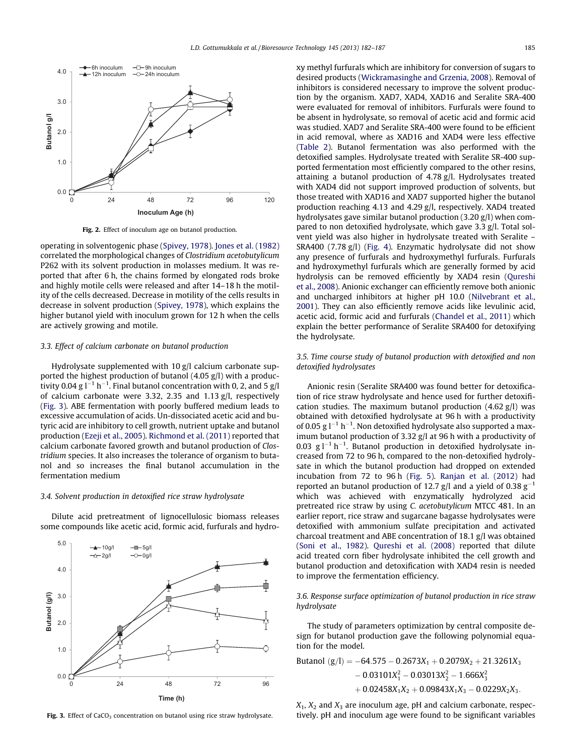<span id="page-3-0"></span>

Fig. 2. Effect of inoculum age on butanol production.

operating in solventogenic phase [\(Spivey, 1978](#page-5-0)). [Jones et al. \(1982\)](#page-5-0) correlated the morphological changes of Clostridium acetobutylicum P262 with its solvent production in molasses medium. It was reported that after 6 h, the chains formed by elongated rods broke and highly motile cells were released and after 14–18 h the motility of the cells decreased. Decrease in motility of the cells results in decrease in solvent production [\(Spivey, 1978\)](#page-5-0), which explains the higher butanol yield with inoculum grown for 12 h when the cells are actively growing and motile.

#### 3.3. Effect of calcium carbonate on butanol production

Hydrolysate supplemented with 10 g/l calcium carbonate supported the highest production of butanol (4.05 g/l) with a productivity 0.04 g l $^{-1}$  h $^{-1}$ . Final butanol concentration with 0, 2, and 5 g/l of calcium carbonate were 3.32, 2.35 and 1.13 g/l, respectively (Fig. 3). ABE fermentation with poorly buffered medium leads to excessive accumulation of acids. Un-dissociated acetic acid and butyric acid are inhibitory to cell growth, nutrient uptake and butanol production [\(Ezeji et al., 2005\)](#page-5-0). [Richmond et al. \(2011\)](#page-5-0) reported that calcium carbonate favored growth and butanol production of Clostridium species. It also increases the tolerance of organism to butanol and so increases the final butanol accumulation in the fermentation medium

#### 3.4. Solvent production in detoxified rice straw hydrolysate

Dilute acid pretreatment of lignocellulosic biomass releases some compounds like acetic acid, formic acid, furfurals and hydro-



Fig. 3. Effect of  $CaCO<sub>3</sub>$  concentration on butanol using rice straw hydrolysate.

xy methyl furfurals which are inhibitory for conversion of sugars to desired products ([Wickramasinghe and Grzenia, 2008](#page-5-0)). Removal of inhibitors is considered necessary to improve the solvent production by the organism. XAD7, XAD4, XAD16 and Seralite SRA-400 were evaluated for removal of inhibitors. Furfurals were found to be absent in hydrolysate, so removal of acetic acid and formic acid was studied. XAD7 and Seralite SRA-400 were found to be efficient in acid removal, where as XAD16 and XAD4 were less effective ([Table 2\)](#page-4-0). Butanol fermentation was also performed with the detoxified samples. Hydrolysate treated with Seralite SR-400 supported fermentation most efficiently compared to the other resins, attaining a butanol production of 4.78 g/l. Hydrolysates treated with XAD4 did not support improved production of solvents, but those treated with XAD16 and XAD7 supported higher the butanol production reaching 4.13 and 4.29 g/l, respectively. XAD4 treated hydrolysates gave similar butanol production (3.20 g/l) when compared to non detoxified hydrolysate, which gave 3.3 g/l. Total solvent yield was also higher in hydrolysate treated with Seralite – SRA400 (7.78 g/l) ([Fig. 4\)](#page-4-0). Enzymatic hydrolysate did not show any presence of furfurals and hydroxymethyl furfurals. Furfurals and hydroxymethyl furfurals which are generally formed by acid hydrolysis can be removed efficiently by XAD4 resin [\(Qureshi](#page-5-0) [et al., 2008](#page-5-0)). Anionic exchanger can efficiently remove both anionic and uncharged inhibitors at higher pH 10.0 ([Nilvebrant et al.,](#page-5-0) [2001](#page-5-0)). They can also efficiently remove acids like levulinic acid, acetic acid, formic acid and furfurals [\(Chandel et al., 2011](#page-5-0)) which explain the better performance of Seralite SRA400 for detoxifying the hydrolysate.

## 3.5. Time course study of butanol production with detoxified and non detoxified hydrolysates

Anionic resin (Seralite SRA400 was found better for detoxification of rice straw hydrolysate and hence used for further detoxification studies. The maximum butanol production  $(4.62 \text{ g/l})$  was obtained with detoxified hydrolysate at 96 h with a productivity of 0.05 g  $l^{-1}$  h<sup>-1</sup>. Non detoxified hydrolysate also supported a maximum butanol production of 3.32 g/l at 96 h with a productivity of 0.03  $g l^{-1} h^{-1}$ . Butanol production in detoxified hydrolysate increased from 72 to 96 h, compared to the non-detoxified hydrolysate in which the butanol production had dropped on extended incubation from 72 to 96 h [\(Fig. 5\)](#page-4-0). [Ranjan et al. \(2012\)](#page-5-0) had reported an butanol production of 12.7 g/l and a yield of 0.38  $g^{-1}$ which was achieved with enzymatically hydrolyzed acid pretreated rice straw by using C. acetobutylicum MTCC 481. In an earlier report, rice straw and sugarcane bagasse hydrolysates were detoxified with ammonium sulfate precipitation and activated charcoal treatment and ABE concentration of 18.1 g/l was obtained ([Soni et al., 1982\)](#page-5-0). [Qureshi et al. \(2008\)](#page-5-0) reported that dilute acid treated corn fiber hydrolysate inhibited the cell growth and butanol production and detoxification with XAD4 resin is needed to improve the fermentation efficiency.

3.6. Response surface optimization of butanol production in rice straw hydrolysate

The study of parameters optimization by central composite design for butanol production gave the following polynomial equation for the model.

Butanol 
$$
(g/I) = -64.575 - 0.2673X_1 + 0.2079X_2 + 21.3261X_3 - 0.03101X_1^2 - 0.03013X_2^2 - 1.666X_3^2 + 0.02458X_1X_2 + 0.09843X_1X_3 - 0.0229X_2X_3.
$$

 $X_1, X_2$  and  $X_3$  are inoculum age, pH and calcium carbonate, respectively. pH and inoculum age were found to be significant variables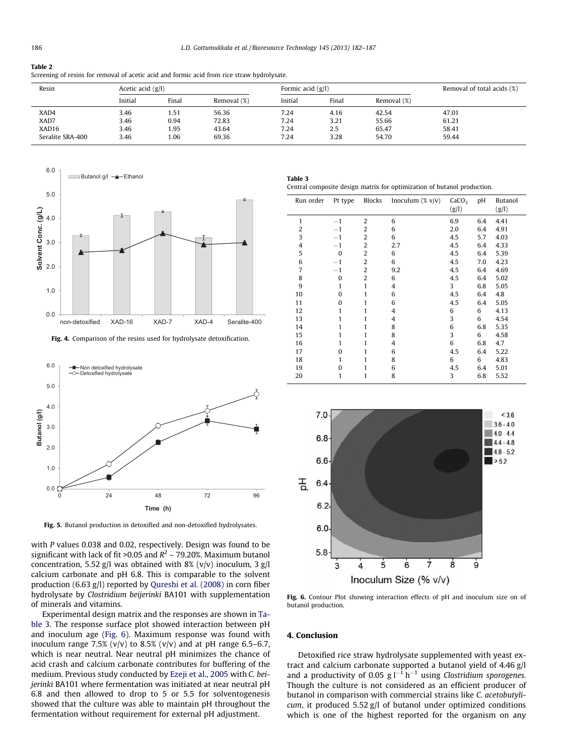#### <span id="page-4-0"></span>Table 2

| Screening of resins for removal of acetic acid and formic acid from rice straw hydrolysate. |  |
|---------------------------------------------------------------------------------------------|--|
|                                                                                             |  |

| Resin            |         | Acetic acid $(g/l)$ |             |         | Formic acid $(g/l)$ | Removal of total acids (%) |       |
|------------------|---------|---------------------|-------------|---------|---------------------|----------------------------|-------|
|                  | Initial | Final               | Removal (%) | Initial | Final               | Removal (%)                |       |
| XAD4             | 3.46    | 1.51                | 56.36       | 7.24    | 4.16                | 42.54                      | 47.01 |
| XAD7             | 3.46    | 0.94                | 72.83       | 7.24    | 3.21                | 55.66                      | 61.21 |
| XAD16            | 3.46    | 1.95                | 43.64       | 7.24    | 2.5                 | 65.47                      | 58.41 |
| Seralite SRA-400 | 3.46    | 1.06                | 69.36       | 7.24    | 3.28                | 54.70                      | 59.44 |



Fig. 4. Comparison of the resins used for hydrolysate detoxification.



Fig. 5. Butanol production in detoxified and non-detoxified hydrolysates.

with P values 0.038 and 0.02, respectively. Design was found to be significant with lack of fit > 0.05 and  $R^2$  – 79.20%. Maximum butanol concentration, 5.52 g/l was obtained with 8% (v/v) inoculum, 3 g/l calcium carbonate and pH 6.8. This is comparable to the solvent production (6.63 g/l) reported by [Qureshi et al. \(2008\)](#page-5-0) in corn fiber hydrolysate by Clostridium beijerinki BA101 with supplementation of minerals and vitamins.

Experimental design matrix and the responses are shown in Table 3. The response surface plot showed interaction between pH and inoculum age (Fig. 6). Maximum response was found with inoculum range 7.5% (v/v) to 8.5% (v/v) and at pH range 6.5–6.7, which is near neutral. Near neutral pH minimizes the chance of acid crash and calcium carbonate contributes for buffering of the medium. Previous study conducted by [Ezeji et al., 2005](#page-5-0) with C. beijerinki BA101 where fermentation was initiated at near neutral pH 6.8 and then allowed to drop to 5 or 5.5 for solventogenesis showed that the culture was able to maintain pH throughout the fermentation without requirement for external pH adjustment.

| nie<br>а<br>. .<br>$\sim$<br>$\sim$ | $\sim$ |  |
|-------------------------------------|--------|--|
|                                     |        |  |

Central composite design matrix for optimization of butanol production.

| Run order      | Pt type      | <b>Blocks</b>  | Inoculum $(\% v/v)$ | CaCO <sub>3</sub><br>(g/l) | pH  | Butanol<br>(g/l) |
|----------------|--------------|----------------|---------------------|----------------------------|-----|------------------|
| 1              | $-1$         | $\overline{2}$ | 6                   | 6.9                        | 6.4 | 4.41             |
| $\overline{2}$ | $-1$         | $\overline{2}$ | 6                   | 2.0                        | 6.4 | 4.91             |
| 3              | $-1$         | $\overline{2}$ | 6                   | 4.5                        | 5.7 | 4.03             |
| 4              | $-1$         | 2              | 2.7                 | 4.5                        | 6.4 | 4.33             |
| 5              | $\mathbf{0}$ | 2              | 6                   | 4.5                        | 6.4 | 5.39             |
| 6              | $-1$         | $\overline{2}$ | 6                   | 4.5                        | 7.0 | 4.23             |
| $\overline{7}$ | $-1$         | $\overline{2}$ | 9.2                 | 4.5                        | 6.4 | 4.69             |
| 8              | $\mathbf{0}$ | $\overline{2}$ | 6                   | 4.5                        | 6.4 | 5.02             |
| 9              | $\mathbf{1}$ | 1              | 4                   | 3                          | 6.8 | 5.05             |
| 10             | $\Omega$     | 1              | 6                   | 4.5                        | 6.4 | 4.8              |
| 11             | $\Omega$     | 1              | 6                   | 4.5                        | 6.4 | 5.05             |
| 12             | 1            | 1              | 4                   | 6                          | 6   | 4.13             |
| 13             | 1            | 1              | $\overline{4}$      | 3                          | 6   | 4.54             |
| 14             | 1            | 1              | 8                   | 6                          | 6.8 | 5.35             |
| 15             | 1            | 1              | 8                   | 3                          | 6   | 4.58             |
| 16             | 1            | 1              | $\overline{4}$      | 6                          | 6.8 | 4.7              |
| 17             | $\Omega$     | 1              | 6                   | 4.5                        | 6.4 | 5.22             |
| 18             | 1            | 1              | 8                   | 6                          | 6   | 4.83             |
| 19             | $\mathbf{0}$ | 1              | 6                   | 4.5                        | 6.4 | 5.01             |
| 20             | 1            | 1              | 8                   | 3                          | 6.8 | 5.52             |



Fig. 6. Contour Plot showing interaction effects of pH and inoculum size on of butanol production.

## 4. Conclusion

Detoxified rice straw hydrolysate supplemented with yeast extract and calcium carbonate supported a butanol yield of 4.46 g/l and a productivity of 0.05  $g l^{-1} h^{-1}$  using Clostridium sporogenes. Though the culture is not considered as an efficient producer of butanol in comparison with commercial strains like C. acetobutylicum, it produced 5.52 g/l of butanol under optimized conditions which is one of the highest reported for the organism on any